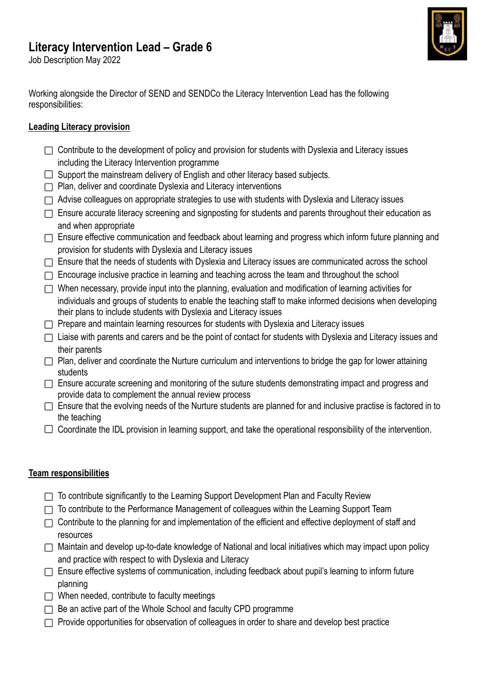# **Literacy Intervention Lead – Grade 6**

Job Description May 2022

Working alongside the Director of SEND and SENDCo the Literacy Intervention Lead has the following responsibilities:

## **Leading Literacy provision**

- $\Box$  Contribute to the development of policy and provision for students with Dyslexia and Literacy issues including the Literacy Intervention programme
- $\Box$  Support the mainstream delivery of English and other literacy based subjects.
- $\Box$  Plan, deliver and coordinate Dyslexia and Literacy interventions
- $\Box$  Advise colleagues on appropriate strategies to use with students with Dyslexia and Literacy issues
- $\Box$  Ensure accurate literacy screening and signposting for students and parents throughout their education as and when appropriate
- $\Box$  Ensure effective communication and feedback about learning and progress which inform future planning and provision for students with Dyslexia and Literacy issues
- $\Box$  Ensure that the needs of students with Dyslexia and Literacy issues are communicated across the school
- $\Box$  Encourage inclusive practice in learning and teaching across the team and throughout the school
- $\Box$  When necessary, provide input into the planning, evaluation and modification of learning activities for individuals and groups of students to enable the teaching staff to make informed decisions when developing their plans to include students with Dyslexia and Literacy issues
- $\Box$  Prepare and maintain learning resources for students with Dyslexia and Literacy issues
- $\Box$  Liaise with parents and carers and be the point of contact for students with Dyslexia and Literacy issues and their parents
- $\Box$  Plan, deliver and coordinate the Nurture curriculum and interventions to bridge the gap for lower attaining students
- $\Box$  Ensure accurate screening and monitoring of the suture students demonstrating impact and progress and provide data to complement the annual review process
- $\Box$  Ensure that the evolving needs of the Nurture students are planned for and inclusive practise is factored in to the teaching
- $\Box$  Coordinate the IDL provision in learning support, and take the operational responsibility of the intervention.

#### **Team responsibilities**

- $\Box$  To contribute significantly to the Learning Support Development Plan and Faculty Review
- $\Box$  To contribute to the Performance Management of colleagues within the Learning Support Team
- $\Box$  Contribute to the planning for and implementation of the efficient and effective deployment of staff and resources
- $\Box$  Maintain and develop up-to-date knowledge of National and local initiatives which may impact upon policy and practice with respect to with Dyslexia and Literacy
- $\Box$  Ensure effective systems of communication, including feedback about pupil's learning to inform future planning
- $\Box$  When needed, contribute to faculty meetings
- $\Box$  Be an active part of the Whole School and faculty CPD programme
- $\Box$  Provide opportunities for observation of colleagues in order to share and develop best practice